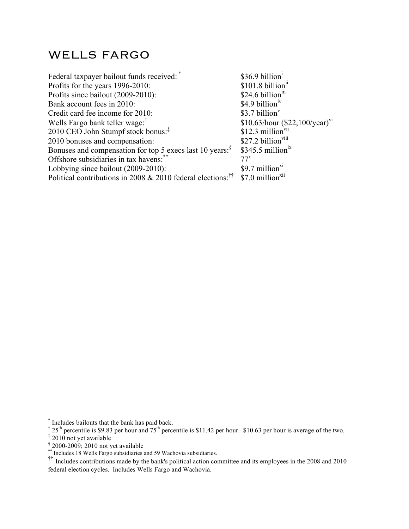## WELLS FARGO

| Federal taxpayer bailout funds received:                                                                   | \$36.9 billion <sup>1</sup>                |
|------------------------------------------------------------------------------------------------------------|--------------------------------------------|
| Profits for the years 1996-2010:                                                                           | \$101.8 billion <sup>11</sup>              |
| Profits since bailout (2009-2010):                                                                         | \$24.6 billion <sup>111</sup>              |
| Bank account fees in 2010:                                                                                 | $$4.9$ billion <sup>1V</sup>               |
| Credit card fee income for 2010:                                                                           | $$3.7$ billion <sup>v</sup>                |
| Wells Fargo bank teller wage: <sup>†</sup>                                                                 | \$10.63/hour $(\$22,100/\text{year})^{V1}$ |
| 2010 CEO John Stumpf stock bonus: <sup>‡</sup>                                                             | $$12.3$ million <sup>vii</sup>             |
| 2010 bonuses and compensation:                                                                             | \$27.2 billion <sup>viii</sup>             |
| Bonuses and compensation for top 5 execs last 10 years: <sup>§</sup>                                       | $$345.5$ million <sup>ix</sup>             |
| Offshore subsidiaries in tax havens:                                                                       | $77^x$                                     |
| Lobbying since bailout (2009-2010):                                                                        | $$9.7$ million <sup>x1</sup>               |
| Political contributions in 2008 & 2010 federal elections: $^{\dagger\dagger}$ \$7.0 million <sup>xii</sup> |                                            |

 <sup>\*</sup> Includes bailouts that the bank has paid back.

<sup>&</sup>lt;sup>†</sup> 25<sup>th</sup> percentile is \$9.83 per hour and 75<sup>th</sup> percentile is \$11.42 per hour. \$10.63 per hour is average of the two.

<sup>‡</sup> 2010 not yet available

 $\frac{8}{10}$  2000-2009; 2010 not yet available  $*$  Includes 18 Wells Fargo subsidiaries and 59 Wachovia subsidiaries.

<sup>&</sup>lt;sup>††</sup> Includes contributions made by the bank's political action committee and its employees in the 2008 and 2010 federal election cycles. Includes Wells Fargo and Wachovia.